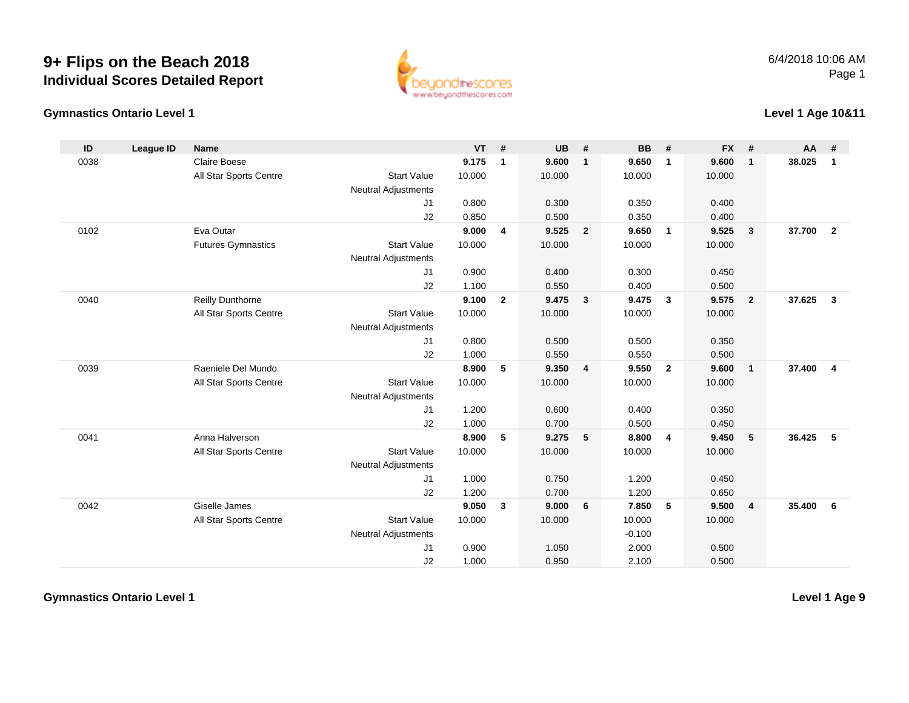## **9+ Flips on the Beach 2018Individual Scores Detailed Report**



## **Gymnastics Ontario Level 1**

**Level 1 Age 10&11**

| ID   | League ID | <b>Name</b>               |                            | $VT$ # |                | <b>UB</b> | #                       | <b>BB</b> | #                       | <b>FX</b> | #              | <b>AA</b> | #              |
|------|-----------|---------------------------|----------------------------|--------|----------------|-----------|-------------------------|-----------|-------------------------|-----------|----------------|-----------|----------------|
| 0038 |           | <b>Claire Boese</b>       |                            | 9.175  | $\mathbf{1}$   | 9.600     | $\mathbf{1}$            | 9.650     | $\overline{1}$          | 9.600     | $\mathbf{1}$   | 38.025    | $\mathbf{1}$   |
|      |           | All Star Sports Centre    | <b>Start Value</b>         | 10.000 |                | 10.000    |                         | 10.000    |                         | 10.000    |                |           |                |
|      |           |                           | <b>Neutral Adjustments</b> |        |                |           |                         |           |                         |           |                |           |                |
|      |           |                           | J1                         | 0.800  |                | 0.300     |                         | 0.350     |                         | 0.400     |                |           |                |
|      |           |                           | J2                         | 0.850  |                | 0.500     |                         | 0.350     |                         | 0.400     |                |           |                |
| 0102 |           | Eva Outar                 |                            | 9.000  | 4              | 9.525     | $\overline{2}$          | 9.650     | $\overline{\mathbf{1}}$ | 9.525     | $\mathbf{3}$   | 37.700    | $\overline{2}$ |
|      |           | <b>Futures Gymnastics</b> | <b>Start Value</b>         | 10.000 |                | 10.000    |                         | 10.000    |                         | 10.000    |                |           |                |
|      |           |                           | <b>Neutral Adjustments</b> |        |                |           |                         |           |                         |           |                |           |                |
|      |           |                           | J1                         | 0.900  |                | 0.400     |                         | 0.300     |                         | 0.450     |                |           |                |
|      |           |                           | J2                         | 1.100  |                | 0.550     |                         | 0.400     |                         | 0.500     |                |           |                |
| 0040 |           | <b>Reilly Dunthorne</b>   |                            | 9.100  | $\overline{2}$ | 9.475     | $\overline{\mathbf{3}}$ | 9.475     | $\mathbf{3}$            | 9.575     | $\overline{2}$ | 37.625    | $\mathbf{3}$   |
|      |           | All Star Sports Centre    | <b>Start Value</b>         | 10.000 |                | 10.000    |                         | 10.000    |                         | 10.000    |                |           |                |
|      |           |                           | <b>Neutral Adjustments</b> |        |                |           |                         |           |                         |           |                |           |                |
|      |           |                           | J1                         | 0.800  |                | 0.500     |                         | 0.500     |                         | 0.350     |                |           |                |
|      |           |                           | J2                         | 1.000  |                | 0.550     |                         | 0.550     |                         | 0.500     |                |           |                |
| 0039 |           | Raeniele Del Mundo        |                            | 8.900  | 5              | 9.350     | $\overline{\mathbf{4}}$ | 9.550     | $\overline{2}$          | 9.600     | $\mathbf{1}$   | 37.400    | $\overline{4}$ |
|      |           | All Star Sports Centre    | <b>Start Value</b>         | 10.000 |                | 10.000    |                         | 10.000    |                         | 10.000    |                |           |                |
|      |           |                           | <b>Neutral Adjustments</b> |        |                |           |                         |           |                         |           |                |           |                |
|      |           |                           | J1                         | 1.200  |                | 0.600     |                         | 0.400     |                         | 0.350     |                |           |                |
|      |           |                           | J2                         | 1.000  |                | 0.700     |                         | 0.500     |                         | 0.450     |                |           |                |
| 0041 |           | Anna Halverson            |                            | 8.900  | 5              | 9.275     | 5                       | 8.800     | $\overline{4}$          | 9.450     | 5              | 36.425    | 5              |
|      |           | All Star Sports Centre    | <b>Start Value</b>         | 10.000 |                | 10.000    |                         | 10.000    |                         | 10.000    |                |           |                |
|      |           |                           | <b>Neutral Adjustments</b> |        |                |           |                         |           |                         |           |                |           |                |
|      |           |                           | J1                         | 1.000  |                | 0.750     |                         | 1.200     |                         | 0.450     |                |           |                |
|      |           |                           | J2                         | 1.200  |                | 0.700     |                         | 1.200     |                         | 0.650     |                |           |                |
| 0042 |           | Giselle James             |                            | 9.050  | $\mathbf{3}$   | 9.000     | 6                       | 7.850     | 5                       | 9.500     | $\overline{4}$ | 35.400    | 6              |
|      |           | All Star Sports Centre    | <b>Start Value</b>         | 10.000 |                | 10.000    |                         | 10.000    |                         | 10.000    |                |           |                |
|      |           |                           | <b>Neutral Adjustments</b> |        |                |           |                         | $-0.100$  |                         |           |                |           |                |
|      |           |                           | J1                         | 0.900  |                | 1.050     |                         | 2.000     |                         | 0.500     |                |           |                |
|      |           |                           | J2                         | 1.000  |                | 0.950     |                         | 2.100     |                         | 0.500     |                |           |                |

**Gymnastics Ontario Level 1**

**Level 1 Age 9**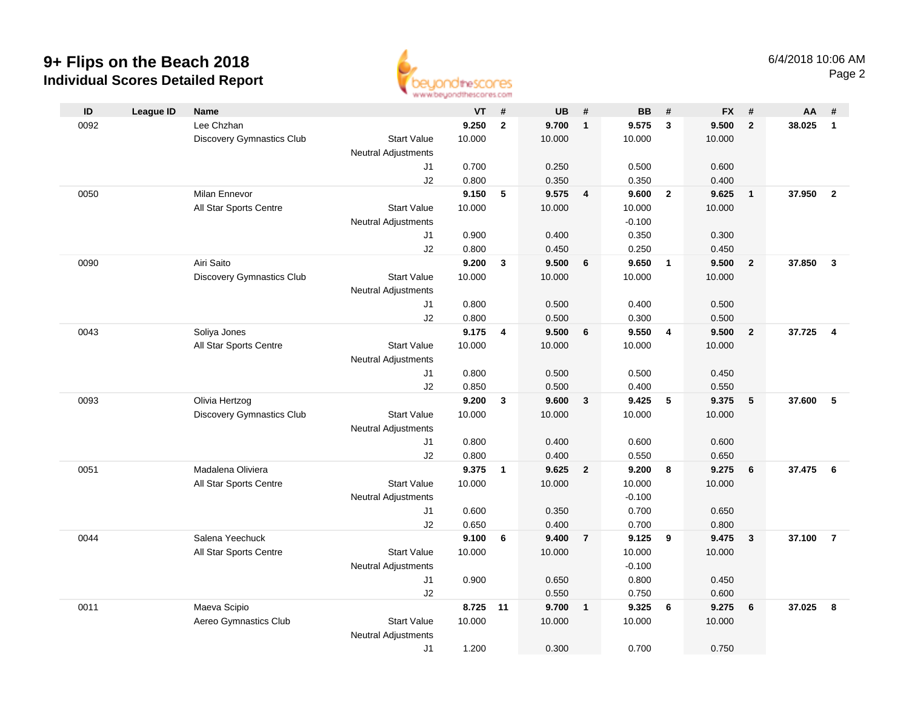## **9+ Flips on the Beach 2018 Individual Scores Detailed Report**



| ID   | League ID | Name                             |                            | <b>VT</b> | #              | <b>UB</b> | #                       | <b>BB</b> | #              | <b>FX</b> | #                       | AA     | #                       |
|------|-----------|----------------------------------|----------------------------|-----------|----------------|-----------|-------------------------|-----------|----------------|-----------|-------------------------|--------|-------------------------|
| 0092 |           | Lee Chzhan                       |                            | 9.250     | $\overline{2}$ | 9.700     | $\overline{\mathbf{1}}$ | 9.575     | $\mathbf{3}$   | 9.500     | $\overline{2}$          | 38.025 | $\mathbf{1}$            |
|      |           | Discovery Gymnastics Club        | <b>Start Value</b>         | 10.000    |                | 10.000    |                         | 10.000    |                | 10.000    |                         |        |                         |
|      |           |                                  | <b>Neutral Adjustments</b> |           |                |           |                         |           |                |           |                         |        |                         |
|      |           |                                  | J1                         | 0.700     |                | 0.250     |                         | 0.500     |                | 0.600     |                         |        |                         |
|      |           |                                  | J2                         | 0.800     |                | 0.350     |                         | 0.350     |                | 0.400     |                         |        |                         |
| 0050 |           | <b>Milan Ennevor</b>             |                            | 9.150     | 5              | 9.575     | $\overline{4}$          | 9.600     | $\overline{2}$ | 9.625     | $\overline{\mathbf{1}}$ | 37.950 | $\overline{2}$          |
|      |           | All Star Sports Centre           | <b>Start Value</b>         | 10.000    |                | 10.000    |                         | 10.000    |                | 10.000    |                         |        |                         |
|      |           |                                  | <b>Neutral Adjustments</b> |           |                |           |                         | $-0.100$  |                |           |                         |        |                         |
|      |           |                                  | J1                         | 0.900     |                | 0.400     |                         | 0.350     |                | 0.300     |                         |        |                         |
|      |           |                                  | J2                         | 0.800     |                | 0.450     |                         | 0.250     |                | 0.450     |                         |        |                         |
| 0090 |           | Airi Saito                       |                            | 9.200     | 3              | 9.500     | 6                       | 9.650     | $\overline{1}$ | 9.500     | $\overline{2}$          | 37.850 | $\mathbf{3}$            |
|      |           | <b>Discovery Gymnastics Club</b> | <b>Start Value</b>         | 10.000    |                | 10.000    |                         | 10.000    |                | 10.000    |                         |        |                         |
|      |           |                                  | <b>Neutral Adjustments</b> |           |                |           |                         |           |                |           |                         |        |                         |
|      |           |                                  | J1                         | 0.800     |                | 0.500     |                         | 0.400     |                | 0.500     |                         |        |                         |
|      |           |                                  | J2                         | 0.800     |                | 0.500     |                         | 0.300     |                | 0.500     |                         |        |                         |
| 0043 |           | Soliya Jones                     |                            | 9.175     | 4              | 9.500     | 6                       | 9.550     | $\overline{4}$ | 9.500     | $\overline{2}$          | 37.725 | $\overline{\mathbf{4}}$ |
|      |           | All Star Sports Centre           | <b>Start Value</b>         | 10.000    |                | 10.000    |                         | 10.000    |                | 10.000    |                         |        |                         |
|      |           |                                  | <b>Neutral Adjustments</b> |           |                |           |                         |           |                |           |                         |        |                         |
|      |           |                                  | J1                         | 0.800     |                | 0.500     |                         | 0.500     |                | 0.450     |                         |        |                         |
|      |           |                                  | J2                         | 0.850     |                | 0.500     |                         | 0.400     |                | 0.550     |                         |        |                         |
| 0093 |           | Olivia Hertzog                   |                            | 9.200     | $\mathbf{3}$   | 9.600     | $\mathbf{3}$            | 9.425     | $\sqrt{5}$     | 9.375     | $5\phantom{.0}$         | 37.600 | 5                       |
|      |           | Discovery Gymnastics Club        | <b>Start Value</b>         | 10.000    |                | 10.000    |                         | 10.000    |                | 10.000    |                         |        |                         |
|      |           |                                  | <b>Neutral Adjustments</b> |           |                |           |                         |           |                |           |                         |        |                         |
|      |           |                                  | J1                         | 0.800     |                | 0.400     |                         | 0.600     |                | 0.600     |                         |        |                         |
|      |           |                                  | J2                         | 0.800     |                | 0.400     |                         | 0.550     |                | 0.650     |                         |        |                         |
| 0051 |           | Madalena Oliviera                |                            | 9.375     | $\mathbf{1}$   | 9.625     | $\overline{2}$          | 9.200     | 8              | 9.275     | 6                       | 37.475 | 6                       |
|      |           | All Star Sports Centre           | <b>Start Value</b>         | 10.000    |                | 10.000    |                         | 10.000    |                | 10.000    |                         |        |                         |
|      |           |                                  | <b>Neutral Adjustments</b> |           |                |           |                         | $-0.100$  |                |           |                         |        |                         |
|      |           |                                  | J1                         | 0.600     |                | 0.350     |                         | 0.700     |                | 0.650     |                         |        |                         |
|      |           |                                  | J2                         | 0.650     |                | 0.400     |                         | 0.700     |                | 0.800     |                         |        |                         |
| 0044 |           | Salena Yeechuck                  |                            | 9.100     | 6              | 9.400     | $\overline{7}$          | 9.125     | 9              | 9.475     | $\mathbf{3}$            | 37.100 | $\overline{7}$          |
|      |           | All Star Sports Centre           | <b>Start Value</b>         | 10.000    |                | 10.000    |                         | 10.000    |                | 10.000    |                         |        |                         |
|      |           |                                  | <b>Neutral Adjustments</b> |           |                |           |                         | $-0.100$  |                |           |                         |        |                         |
|      |           |                                  | J1                         | 0.900     |                | 0.650     |                         | 0.800     |                | 0.450     |                         |        |                         |
|      |           |                                  | J2                         |           |                | 0.550     |                         | 0.750     |                | 0.600     |                         |        |                         |
| 0011 |           | Maeva Scipio                     |                            | 8.725 11  |                | 9.700     | $\overline{\mathbf{1}}$ | 9.325     | 6              | 9.275     | 6                       | 37.025 | 8                       |
|      |           | Aereo Gymnastics Club            | <b>Start Value</b>         | 10.000    |                | 10.000    |                         | 10.000    |                | 10.000    |                         |        |                         |
|      |           |                                  | <b>Neutral Adjustments</b> |           |                |           |                         |           |                |           |                         |        |                         |
|      |           |                                  | J1                         | 1.200     |                | 0.300     |                         | 0.700     |                | 0.750     |                         |        |                         |